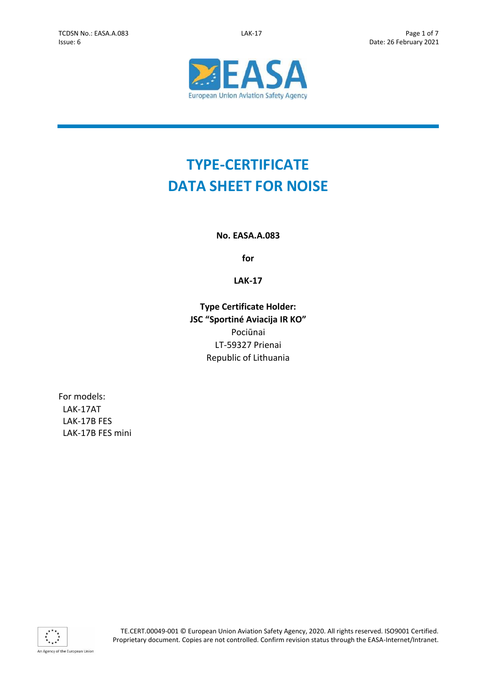

# **TYPE-CERTIFICATE DATA SHEET FOR NOISE**

**No. EASA.A.083**

**for**

### **LAK-17**

**Type Certificate Holder: JSC "Sportiné Aviacija IR KO"** Pociūnai LT-59327 Prienai Republic of Lithuania

For models: LAK-17AT LAK-17B FES LAK-17B FES mini

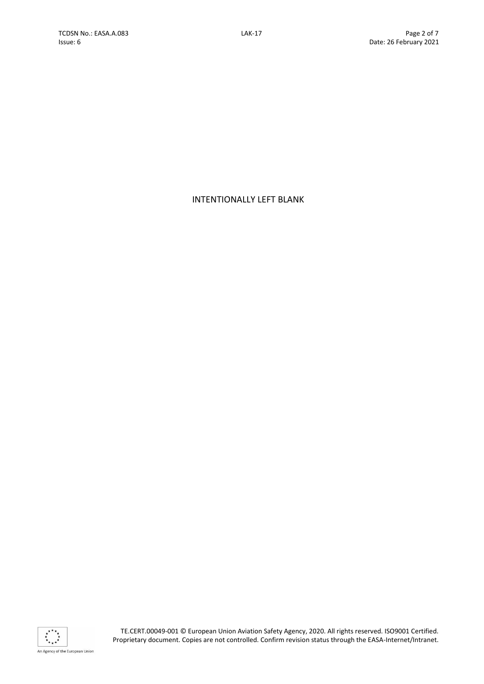## INTENTIONALLY LEFT BLANK

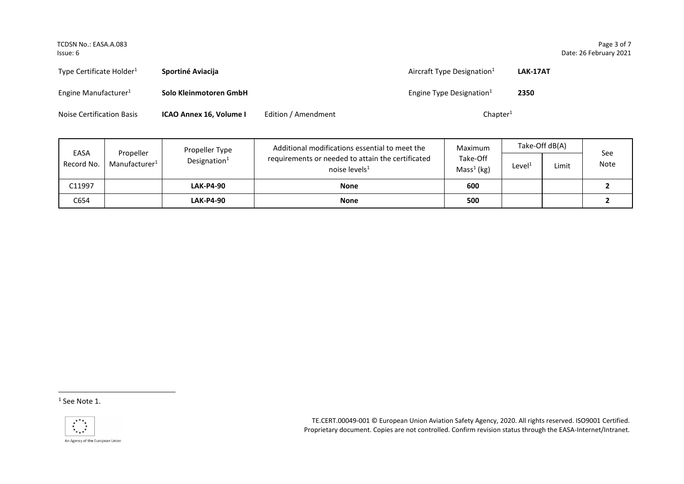| TCDSN No.: EASA.A.083<br>Issue: 6    |                                |                     |                                        | Page 3 of 7<br>Date: 26 February 2021 |
|--------------------------------------|--------------------------------|---------------------|----------------------------------------|---------------------------------------|
| Type Certificate Holder <sup>1</sup> | Sportiné Aviacija              |                     | Aircraft Type Designation <sup>1</sup> | LAK-17AT                              |
| Engine Manufacturer <sup>1</sup>     | Solo Kleinmotoren GmbH         |                     | Engine Type Designation <sup>1</sup>   | 2350                                  |
| Noise Certification Basis            | <b>ICAO Annex 16, Volume I</b> | Edition / Amendment | Chapter <sup>1</sup>                   |                                       |

| Propeller<br>EASA |                           | Propeller Type   | Additional modifications essential to meet the                                 | Maximum                            | Take-Off dB(A) |       |                    |
|-------------------|---------------------------|------------------|--------------------------------------------------------------------------------|------------------------------------|----------------|-------|--------------------|
| Record No.        | Manufacturer <sup>1</sup> | Designation $1$  | requirements or needed to attain the certificated<br>noise levels <sup>1</sup> | Take-Off<br>Mass <sup>1</sup> (kg) | Level $^1$     | Limit | See<br><b>Note</b> |
| C11997            |                           | <b>LAK-P4-90</b> | <b>None</b>                                                                    | 600                                |                |       |                    |
| C654              |                           | <b>LAK-P4-90</b> | <b>None</b>                                                                    | 500                                |                |       |                    |

1 See Note 1.



TE.CERT.00049-001 © European Union Aviation Safety Agency, 2020. All rights reserved. ISO9001 Certified. Proprietary document. Copies are not controlled. Confirm revision status through the EASA-Internet/Intranet.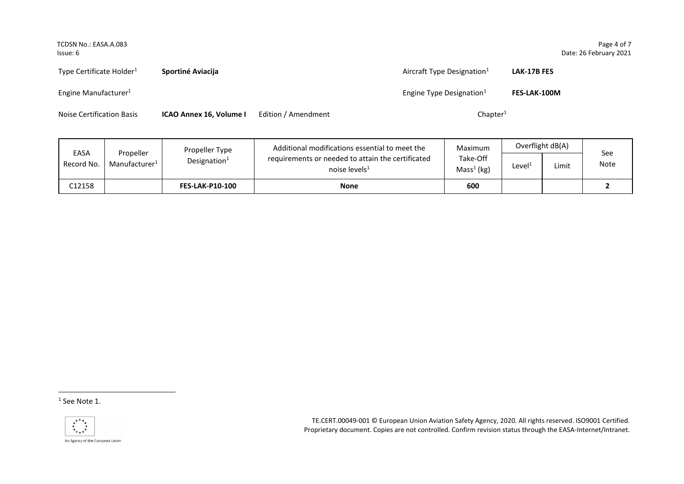| TCDSN No.: EASA.A.083<br>Issue: 6    |                                |                     |                                      |                                        |                    | Page 4 of 7<br>Date: 26 February 2021 |
|--------------------------------------|--------------------------------|---------------------|--------------------------------------|----------------------------------------|--------------------|---------------------------------------|
| Type Certificate Holder <sup>1</sup> | Sportiné Aviacija              |                     |                                      | Aircraft Type Designation <sup>1</sup> | <b>LAK-17B FES</b> |                                       |
| Engine Manufacturer <sup>1</sup>     |                                |                     | Engine Type Designation <sup>1</sup> |                                        | FES-LAK-100M       |                                       |
| Noise Certification Basis            | <b>ICAO Annex 16, Volume I</b> | Edition / Amendment | Chapter <sup>1</sup>                 |                                        |                    |                                       |
|                                      |                                |                     |                                      |                                        | $O_{\text{total}}$ |                                       |

| EASA<br>Propeller |                           | Propeller Type         | Additional modifications essential to meet the                                 | Maximum                  |                    | Overflight dB(A) | See  |
|-------------------|---------------------------|------------------------|--------------------------------------------------------------------------------|--------------------------|--------------------|------------------|------|
| Record No.        | Manufacturer <sup>1</sup> | Designation $1$        | requirements or needed to attain the certificated<br>noise levels <sup>1</sup> | Take-Off<br>$Mass1$ (kg) | Level <sup>®</sup> | Limit            | Note |
| 12158:            |                           | <b>FES-LAK-P10-100</b> | None                                                                           | 600                      |                    |                  |      |

1 See Note 1.



TE.CERT.00049-001 © European Union Aviation Safety Agency, 2020. All rights reserved. ISO9001 Certified. Proprietary document. Copies are not controlled. Confirm revision status through the EASA-Internet/Intranet.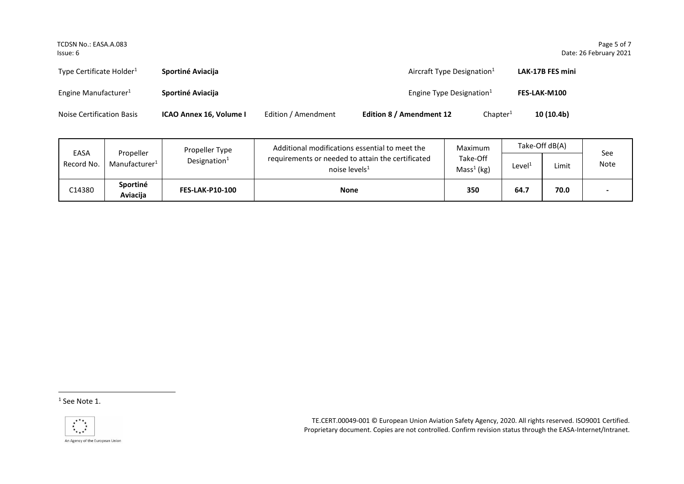| TCDSN No.: EASA.A.083<br>Issue: 6    |                                |                     |                                        |                      | Page 5 of 7<br>Date: 26 February 2021 |
|--------------------------------------|--------------------------------|---------------------|----------------------------------------|----------------------|---------------------------------------|
| Type Certificate Holder <sup>1</sup> | Sportiné Aviacija              |                     | Aircraft Type Designation <sup>1</sup> |                      | LAK-17B FES mini                      |
| Engine Manufacturer <sup>1</sup>     | Sportiné Aviacija              |                     | Engine Type Designation <sup>1</sup>   |                      | FES-LAK-M100                          |
| Noise Certification Basis            | <b>ICAO Annex 16, Volume I</b> | Edition / Amendment | Edition 8 / Amendment 12               | Chapter <sup>1</sup> | 10 (10.4b)                            |

| EASA       |                                                                                                                                    | Propeller Type         | Additional modifications essential to meet the | Maximum            | Take-Off dB(A) |      | See<br>Note |
|------------|------------------------------------------------------------------------------------------------------------------------------------|------------------------|------------------------------------------------|--------------------|----------------|------|-------------|
| Record No. | Propeller<br>requirements or needed to attain the certificated<br>Designation $1$<br>Manufacturer <sup>1</sup><br>noise levels $1$ |                        | Take-Off<br>Mass <sup>1</sup> (kg)             | Level <sup>1</sup> | Limit          |      |             |
| C14380     | Sportiné<br>Aviacija                                                                                                               | <b>FES-LAK-P10-100</b> | <b>None</b>                                    | 350                | 64.7           | 70.0 |             |

1 See Note 1.



TE.CERT.00049-001 © European Union Aviation Safety Agency, 2020. All rights reserved. ISO9001 Certified. Proprietary document. Copies are not controlled. Confirm revision status through the EASA-Internet/Intranet.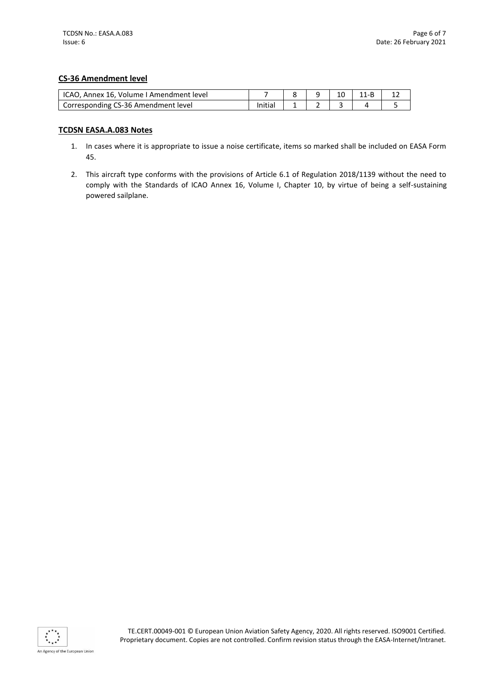#### **CS-36 Amendment level**

| ICAO, Annex 16, Volume I Amendment level |  |  | 10 | 1 – H |  |
|------------------------------------------|--|--|----|-------|--|
| Corresponding CS-36 Amendment level      |  |  |    |       |  |

#### **TCDSN EASA.A.083 Notes**

- 1. In cases where it is appropriate to issue a noise certificate, items so marked shall be included on EASA Form 45.
- 2. This aircraft type conforms with the provisions of Article 6.1 of Regulation 2018/1139 without the need to comply with the Standards of ICAO Annex 16, Volume I, Chapter 10, by virtue of being a self-sustaining powered sailplane.